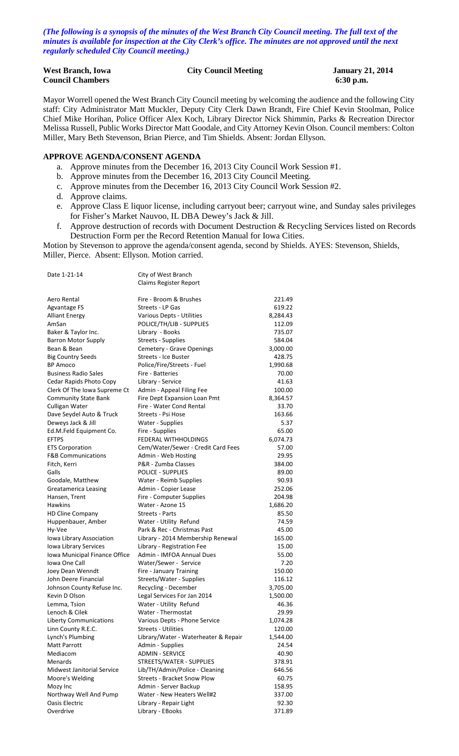*(The following is a synopsis of the minutes of the West Branch City Council meeting. The full text of the minutes is available for inspection at the City Clerk's office. The minutes are not approved until the next regularly scheduled City Council meeting.)*

| <b>West Branch, Iowa</b> | <b>City Council Meeting</b> | <b>January 21, 2014</b> |
|--------------------------|-----------------------------|-------------------------|
| <b>Council Chambers</b>  |                             | $6:30$ p.m.             |

Mayor Worrell opened the West Branch City Council meeting by welcoming the audience and the following City staff: City Administrator Matt Muckler, Deputy City Clerk Dawn Brandt, Fire Chief Kevin Stoolman, Police Chief Mike Horihan, Police Officer Alex Koch, Library Director Nick Shimmin, Parks & Recreation Director Melissa Russell, Public Works Director Matt Goodale, and City Attorney Kevin Olson. Council members: Colton Miller, Mary Beth Stevenson, Brian Pierce, and Tim Shields. Absent: Jordan Ellyson.

#### **APPROVE AGENDA/CONSENT AGENDA**

- a. Approve minutes from the December 16, 2013 City Council Work Session #1.
- b. Approve minutes from the December 16, 2013 City Council Meeting.
- c. Approve minutes from the December 16, 2013 City Council Work Session #2.
- d. Approve claims.
- e. Approve Class E liquor license, including carryout beer; carryout wine, and Sunday sales privileges for Fisher's Market Nauvoo, IL DBA Dewey's Jack & Jill.
- f. Approve destruction of records with Document Destruction & Recycling Services listed on Records Destruction Form per the Record Retention Manual for Iowa Cities.

Motion by Stevenson to approve the agenda/consent agenda, second by Shields. AYES: Stevenson, Shields, Miller, Pierce. Absent: Ellyson. Motion carried.

| Date 1-21-14                  | City of West Branch<br>Claims Register Report |          |
|-------------------------------|-----------------------------------------------|----------|
|                               |                                               |          |
| Aero Rental                   | Fire - Broom & Brushes                        | 221.49   |
| Agvantage FS                  | Streets - LP Gas                              | 619.22   |
| <b>Alliant Energy</b>         | Various Depts - Utilities                     | 8,284.43 |
| AmSan                         | POLICE/TH/LIB - SUPPLIES                      | 112.09   |
| Baker & Taylor Inc.           | Library - Books                               | 735.07   |
| <b>Barron Motor Supply</b>    | Streets - Supplies                            | 584.04   |
| Bean & Bean                   | Cemetery - Grave Openings                     | 3,000.00 |
| <b>Big Country Seeds</b>      | <b>Streets - Ice Buster</b>                   | 428.75   |
| <b>BP Amoco</b>               | Police/Fire/Streets - Fuel                    | 1,990.68 |
| <b>Business Radio Sales</b>   | Fire - Batteries                              | 70.00    |
| Cedar Rapids Photo Copy       | Library - Service                             | 41.63    |
| Clerk Of The Iowa Supreme Ct  | Admin - Appeal Filing Fee                     | 100.00   |
| <b>Community State Bank</b>   | Fire Dept Expansion Loan Pmt                  | 8,364.57 |
| Culligan Water                | Fire - Water Cond Rental                      | 33.70    |
| Dave Seydel Auto & Truck      | Streets - Psi Hose                            | 163.66   |
| Deweys Jack & Jill            | Water - Supplies                              | 5.37     |
| Ed.M.Feld Equipment Co.       | Fire - Supplies                               | 65.00    |
| <b>EFTPS</b>                  | FEDERAL WITHHOLDINGS                          | 6,074.73 |
| <b>ETS Corporation</b>        | Cem/Water/Sewer - Credit Card Fees            | 57.00    |
| <b>F&amp;B Communications</b> | Admin - Web Hosting                           | 29.95    |
| Fitch, Kerri                  | P&R - Zumba Classes                           | 384.00   |
| Galls                         | <b>POLICE - SUPPLIES</b>                      | 89.00    |
| Goodale, Matthew              | Water - Reimb Supplies                        | 90.93    |
| Greatamerica Leasing          | Admin - Copier Lease                          | 252.06   |
| Hansen, Trent                 | Fire - Computer Supplies                      | 204.98   |
| <b>Hawkins</b>                | Water - Azone 15                              | 1,686.20 |
| <b>HD Cline Company</b>       | <b>Streets - Parts</b>                        | 85.50    |
| Huppenbauer, Amber            | Water - Utility Refund                        | 74.59    |
| Hy-Vee                        | Park & Rec - Christmas Past                   | 45.00    |
| Iowa Library Association      | Library - 2014 Membership Renewal             | 165.00   |
| Iowa Library Services         | Library - Registration Fee                    | 15.00    |
| Iowa Municipal Finance Office | Admin - IMFOA Annual Dues                     | 55.00    |
| Iowa One Call                 | Water/Sewer - Service                         | 7.20     |
| Joey Dean Wenndt              | Fire - January Training                       | 150.00   |
| John Deere Financial          | Streets/Water - Supplies                      | 116.12   |
| Johnson County Refuse Inc.    | Recycling - December                          | 3,705.00 |
| Kevin D Olson                 | Legal Services For Jan 2014                   | 1,500.00 |
| Lemma, Tsion                  | Water - Utility Refund                        | 46.36    |
| Lenoch & Cilek                | Water - Thermostat                            | 29.99    |
| <b>Liberty Communications</b> | Various Depts - Phone Service                 | 1,074.28 |
| Linn County R.E.C.            | <b>Streets - Utilities</b>                    | 120.00   |
| Lynch's Plumbing              | Library/Water - Waterheater & Repair          | 1,544.00 |
| <b>Matt Parrott</b>           | Admin - Supplies                              | 24.54    |
| Mediacom                      | <b>ADMIN - SERVICE</b>                        | 40.90    |
| Menards                       | STREETS/WATER - SUPPLIES                      | 378.91   |
| Midwest Janitorial Service    | Lib/TH/Admin/Police - Cleaning                | 646.56   |
| Moore's Welding               | <b>Streets - Bracket Snow Plow</b>            | 60.75    |
| Mozy Inc                      | Admin - Server Backup                         | 158.95   |
| Northway Well And Pump        | Water - New Heaters Well#2                    | 337.00   |
| Oasis Electric                | Library - Repair Light                        | 92.30    |
| Overdrive                     | Library - EBooks                              | 371.89   |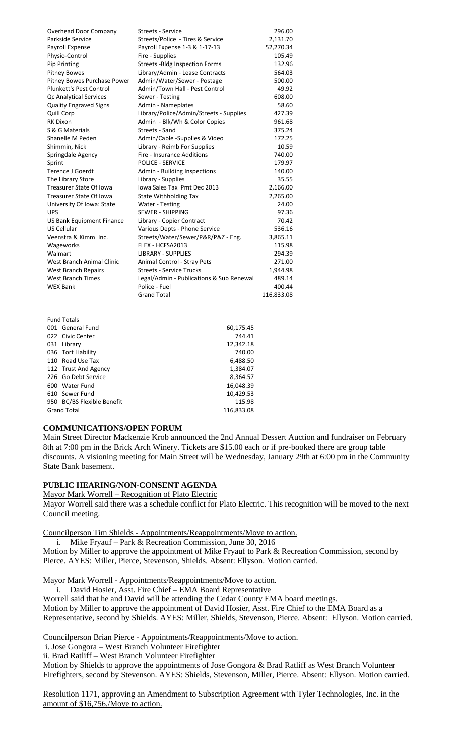| Overhead Door Company            | <b>Streets - Service</b>                 | 296.00     |
|----------------------------------|------------------------------------------|------------|
| Parkside Service                 | Streets/Police - Tires & Service         | 2,131.70   |
| Payroll Expense                  | Payroll Expense 1-3 & 1-17-13            | 52,270.34  |
| Physio-Control                   | Fire - Supplies                          | 105.49     |
| Pip Printing                     | <b>Streets - Bldg Inspection Forms</b>   | 132.96     |
| <b>Pitney Bowes</b>              | Library/Admin - Lease Contracts          | 564.03     |
| Pitney Bowes Purchase Power      | Admin/Water/Sewer - Postage              | 500.00     |
| Plunkett's Pest Control          | Admin/Town Hall - Pest Control           | 49.92      |
| <b>Qc Analytical Services</b>    | Sewer - Testing                          | 608.00     |
| <b>Quality Engraved Signs</b>    | Admin - Nameplates                       | 58.60      |
| Quill Corp                       | Library/Police/Admin/Streets - Supplies  | 427.39     |
| <b>RK Dixon</b>                  | Admin - Blk/Wh & Color Copies            | 961.68     |
| S & G Materials                  | Streets - Sand                           | 375.24     |
| Shanelle M Peden                 | Admin/Cable - Supplies & Video           | 172.25     |
| Shimmin, Nick                    | Library - Reimb For Supplies             | 10.59      |
| Springdale Agency                | Fire - Insurance Additions               | 740.00     |
| Sprint                           | <b>POLICE - SERVICE</b>                  | 179.97     |
| <b>Terence J Goerdt</b>          | Admin - Building Inspections             | 140.00     |
| The Library Store                | Library - Supplies                       | 35.55      |
| <b>Treasurer State Of Iowa</b>   | Iowa Sales Tax Pmt Dec 2013              | 2,166.00   |
| Treasurer State Of Iowa          | <b>State Withholding Tax</b>             | 2,265.00   |
| University Of Iowa: State        | Water - Testing                          | 24.00      |
| <b>UPS</b>                       | <b>SEWER - SHIPPING</b>                  | 97.36      |
| <b>US Bank Equipment Finance</b> | Library - Copier Contract                | 70.42      |
| US Cellular                      | Various Depts - Phone Service            | 536.16     |
| Veenstra & Kimm Inc.             | Streets/Water/Sewer/P&R/P&Z - Eng.       | 3,865.11   |
| Wageworks                        | FLEX - HCFSA2013                         | 115.98     |
| Walmart                          | <b>LIBRARY - SUPPLIES</b>                | 294.39     |
| <b>West Branch Animal Clinic</b> | <b>Animal Control - Stray Pets</b>       | 271.00     |
| <b>West Branch Repairs</b>       | <b>Streets - Service Trucks</b>          | 1,944.98   |
| <b>West Branch Times</b>         | Legal/Admin - Publications & Sub Renewal | 489.14     |
| <b>WEX Bank</b>                  | Police - Fuel                            | 400.44     |
|                                  | <b>Grand Total</b>                       | 116,833.08 |
|                                  |                                          |            |

| <b>Fund Totals</b>         |            |
|----------------------------|------------|
| 001 General Fund           | 60,175.45  |
| 022 Civic Center           | 744.41     |
| 031 Library                | 12,342.18  |
| 036 Tort Liability         | 740.00     |
| 110 Road Use Tax           | 6,488.50   |
| 112 Trust And Agency       | 1,384.07   |
| 226 Go Debt Service        | 8,364.57   |
| 600 Water Fund             | 16,048.39  |
| 610 Sewer Fund             | 10,429.53  |
| 950 BC/BS Flexible Benefit | 115.98     |
| <b>Grand Total</b>         | 116,833.08 |
|                            |            |

#### **COMMUNICATIONS/OPEN FORUM**

Main Street Director Mackenzie Krob announced the 2nd Annual Dessert Auction and fundraiser on February 8th at 7:00 pm in the Brick Arch Winery. Tickets are \$15.00 each or if pre-booked there are group table discounts. A visioning meeting for Main Street will be Wednesday, January 29th at 6:00 pm in the Community State Bank basement.

# **PUBLIC HEARING/NON-CONSENT AGENDA**

Mayor Mark Worrell – Recognition of Plato Electric

Mayor Worrell said there was a schedule conflict for Plato Electric. This recognition will be moved to the next Council meeting.

Councilperson Tim Shields - Appointments/Reappointments/Move to action.

i. Mike Fryauf – Park & Recreation Commission, June 30, 2016

Motion by Miller to approve the appointment of Mike Fryauf to Park & Recreation Commission, second by Pierce. AYES: Miller, Pierce, Stevenson, Shields. Absent: Ellyson. Motion carried.

Mayor Mark Worrell - Appointments/Reappointments/Move to action.

i. David Hosier, Asst. Fire Chief – EMA Board Representative

Worrell said that he and David will be attending the Cedar County EMA board meetings. Motion by Miller to approve the appointment of David Hosier, Asst. Fire Chief to the EMA Board as a Representative, second by Shields. AYES: Miller, Shields, Stevenson, Pierce. Absent: Ellyson. Motion carried.

Councilperson Brian Pierce - Appointments/Reappointments/Move to action.

i. Jose Gongora – West Branch Volunteer Firefighter

ii. Brad Ratliff – West Branch Volunteer Firefighter

Motion by Shields to approve the appointments of Jose Gongora & Brad Ratliff as West Branch Volunteer Firefighters, second by Stevenson. AYES: Shields, Stevenson, Miller, Pierce. Absent: Ellyson. Motion carried.

Resolution 1171, approving an Amendment to Subscription Agreement with Tyler Technologies, Inc. in the amount of \$16,756./Move to action.